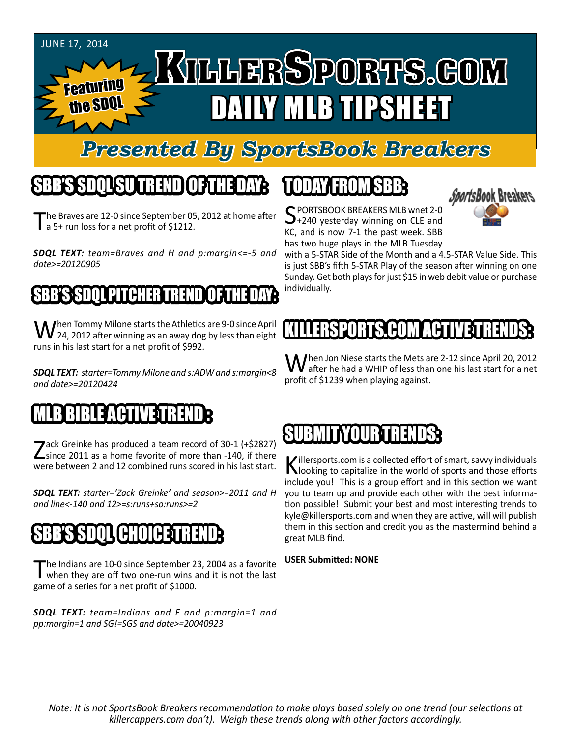#### JUNE 17, 2014

Featuring

the SDQ

# KTLLERSPORTS.GOM DAILY MLB TIPSHEET

### *Presented By SportsBook Breakers*

### SBB'S SDQL SU TREND OF THE DAY:

he Braves are 12-0 since September 05, 2012 at home after **a** 5+ run loss for a net profit of \$1212.

*SDQL TEXT: team=Braves and H and p:margin<=-5 and date>=20120905*

#### BB'S SDOL PITCHER TREND

**/** hen Tommy Milone starts the Athletics are 9-0 since April  $\blacktriangledown$  24, 2012 after winning as an away dog by less than eight runs in his last start for a net profit of \$992.

*SDQL TEXT: starter=Tommy Milone and s:ADW and s:margin<8 and date>=20120424*

#### MLB BIBLE ACTIVE TRENDE

Zack Greinke has produced a team record of 30-1 (+\$2827)<br>
Since 2011 as a home favorite of more than -140, if there were between 2 and 12 combined runs scored in his last start.

*SDQL TEXT: starter='Zack Greinke' and season>=2011 and H and line<-140 and 12>=s:runs+so:runs>=2*

#### 'B'IN (Ba

The Indians are 10-0 since September 23, 2004 as a favorite<br>when they are off two one-run wins and it is not the last game of a series for a net profit of \$1000.

*SDQL TEXT: team=Indians and F and p:margin=1 and pp:margin=1 and SG!=SGS and date>=20040923*

## TODAY HAOMSBB

SPORTSBOOK BREAKERS MLB wnet 2-0<br>+240 yesterday winning on CLE and KC, and is now 7-1 the past week. SBB has two huge plays in the MLB Tuesday

with a 5-STAR Side of the Month and a 4.5-STAR Value Side. This is just SBB's fifth 5-STAR Play of the season after winning on one Sunday. Get both plays for just \$15 in web debit value or purchase individually.

#### KILLERSPORTS.COM ACT

When Jon Niese starts the Mets are 2-12 since April 20, 2012<br>after he had a WHIP of less than one his last start for a net profit of \$1239 when playing against.

#### SUBMI

Killersports.com is a collected effort of smart, savvy individuals<br>Nooking to capitalize in the world of sports and those efforts include you! This is a group effort and in this section we want you to team up and provide each other with the best information possible! Submit your best and most interesting trends to kyle@killersports.com and when they are active, will will publish them in this section and credit you as the mastermind behind a great MLB find.

#### **USER Submitted: NONE**

*Note: It is not SportsBook Breakers recommendation to make plays based solely on one trend (our selections at killercappers.com don't). Weigh these trends along with other factors accordingly.*